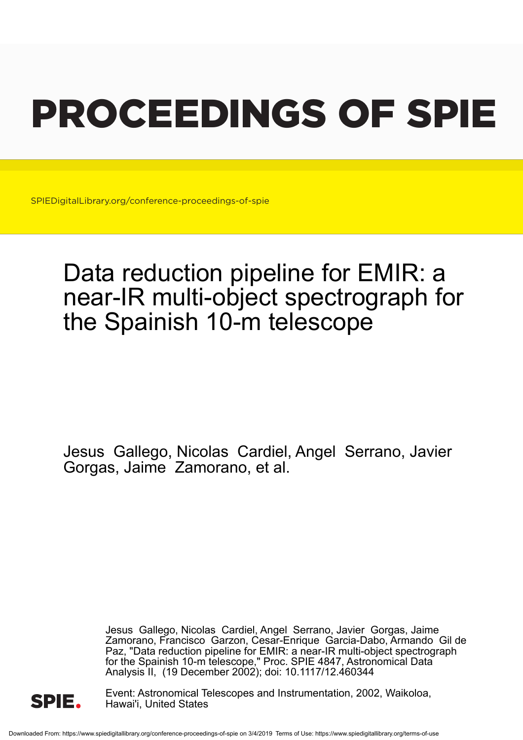# PROCEEDINGS OF SPIE

SPIEDigitalLibrary.org/conference-proceedings-of-spie

## Data reduction pipeline for EMIR: a near-IR multi-object spectrograph for the Spainish 10-m telescope

Jesus Gallego, Nicolas Cardiel, Angel Serrano, Javier Gorgas, Jaime Zamorano, et al.

> Jesus Gallego, Nicolas Cardiel, Angel Serrano, Javier Gorgas, Jaime Zamorano, Francisco Garzon, Cesar-Enrique Garcia-Dabo, Armando Gil de Paz, "Data reduction pipeline for EMIR: a near-IR multi-object spectrograph for the Spainish 10-m telescope," Proc. SPIE 4847, Astronomical Data Analysis II, (19 December 2002); doi: 10.1117/12.460344



Event: Astronomical Telescopes and Instrumentation, 2002, Waikoloa, Hawai'i, United States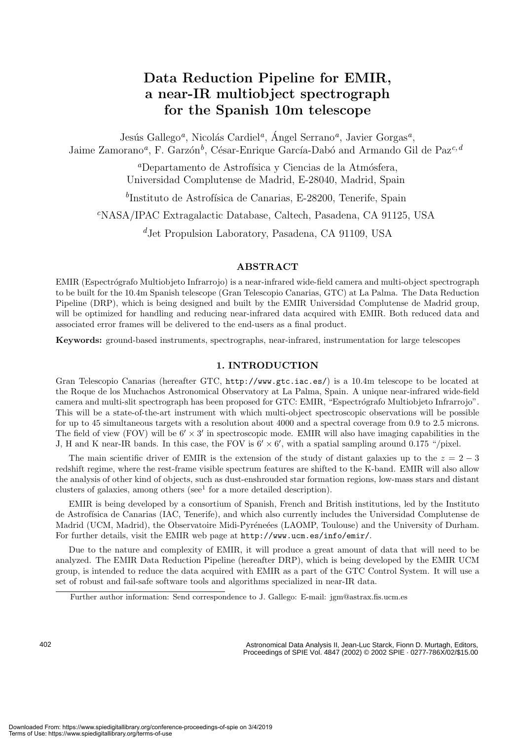### **Data Reduction Pipeline for EMIR, a near-IR multiobject spectrograph for the Spanish 10m telescope**

Jesús Gallego<sup>a</sup>, Nicolás Cardiel<sup>a</sup>, Ángel Serrano<sup>a</sup>, Javier Gorgas<sup>a</sup>, Jaime Zamorano<sup>a</sup>, F. Garzón<sup>b</sup>, César-Enrique García-Dabó and Armando Gil de Paz<sup>c, d</sup>

> <sup>a</sup>Departamento de Astrofísica y Ciencias de la Atmósfera, Universidad Complutense de Madrid, E-28040, Madrid, Spain

 $b$ Instituto de Astrofísica de Canarias, E-28200, Tenerife, Spain

<sup>c</sup>NASA/IPAC Extragalactic Database, Caltech, Pasadena, CA 91125, USA

 $d$ Jet Propulsion Laboratory, Pasadena, CA 91109, USA

#### **ABSTRACT**

EMIR (Espectrógrafo Multiobjeto Infrarrojo) is a near-infrared wide-field camera and multi-object spectrograph to be built for the 10.4m Spanish telescope (Gran Telescopio Canarias, GTC) at La Palma. The Data Reduction Pipeline (DRP), which is being designed and built by the EMIR Universidad Complutense de Madrid group, will be optimized for handling and reducing near-infrared data acquired with EMIR. Both reduced data and associated error frames will be delivered to the end-users as a final product.

**Keywords:** ground-based instruments, spectrographs, near-infrared, instrumentation for large telescopes

#### **1. INTRODUCTION**

Gran Telescopio Canarias (hereafter GTC, http://www.gtc.iac.es/) is a 10.4m telescope to be located at the Roque de los Muchachos Astronomical Observatory at La Palma, Spain.A unique near-infrared wide-field camera and multi-slit spectrograph has been proposed for GTC: EMIR, "Espectrógrafo Multiobjeto Infrarrojo". This will be a state-of-the-art instrument with which multi-object spectroscopic observations will be possible for up to 45 simultaneous targets with a resolution about 4000 and a spectral coverage from 0.9 to 2.5 microns. The field of view (FOV) will be  $6' \times 3'$  in spectroscopic mode. EMIR will also have imaging capabilities in the J, H and K near-IR bands. In this case, the FOV is  $6' \times 6'$ , with a spatial sampling around 0.175 "/pixel.

The main scientific driver of EMIR is the extension of the study of distant galaxies up to the  $z = 2 - 3$ redshift regime, where the rest-frame visible spectrum features are shifted to the K-band.EMIR will also allow the analysis of other kind of objects, such as dust-enshrouded star formation regions, low-mass stars and distant clusters of galaxies, among others (see<sup>1</sup> for a more detailed description).

EMIR is being developed by a consortium of Spanish, French and British institutions, led by the Instituto de Astrofísica de Canarias (IAC, Tenerife), and which also currently includes the Universidad Complutense de Madrid (UCM, Madrid), the Observatoire Midi-Pyréneées (LAOMP, Toulouse) and the University of Durham. For further details, visit the EMIR web page at http://www.ucm.es/info/emir/.

Due to the nature and complexity of EMIR, it will produce a great amount of data that will need to be analyzed.The EMIR Data Reduction Pipeline (hereafter DRP), which is being developed by the EMIR UCM group, is intended to reduce the data acquired with EMIR as a part of the GTC Control System.It will use a set of robust and fail-safe software tools and algorithms specialized in near-IR data.

402

Further author information: Send correspondence to J. Gallego: E-mail: jgm@astrax.fis.ucm.es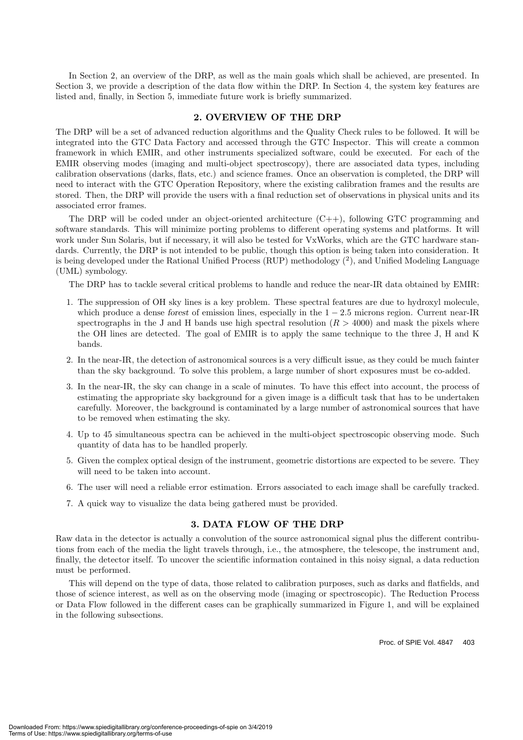In Section 2, an overview of the DRP, as well as the main goals which shall be achieved, are presented. In Section 3, we provide a description of the data flow within the DRP. In Section 4, the system key features are listed and, finally, in Section 5, immediate future work is briefly summarized.

#### **2. OVERVIEW OF THE DRP**

The DRP will be a set of advanced reduction algorithms and the Quality Check rules to be followed.It will be integrated into the GTC Data Factory and accessed through the GTC Inspector.This will create a common framework in which EMIR, and other instruments specialized software, could be executed.For each of the EMIR observing modes (imaging and multi-object spectroscopy), there are associated data types, including calibration observations (darks, flats, etc.) and science frames. Once an observation is completed, the DRP will need to interact with the GTC Operation Repository, where the existing calibration frames and the results are stored. Then, the DRP will provide the users with a final reduction set of observations in physical units and its associated error frames.

The DRP will be coded under an object-oriented architecture  $(C_{++})$ , following GTC programming and software standards. This will minimize porting problems to different operating systems and platforms. It will work under Sun Solaris, but if necessary, it will also be tested for VxWorks, which are the GTC hardware standards. Currently, the DRP is not intended to be public, though this option is being taken into consideration. It is being developed under the Rational Unified Process (RUP) methodology  $\binom{2}{2}$ , and Unified Modeling Language (UML) symbology.

The DRP has to tackle several critical problems to handle and reduce the near-IR data obtained by EMIR:

- 1.The suppression of OH sky lines is a key problem.These spectral features are due to hydroxyl molecule, which produce a dense *forest* of emission lines, especially in the  $1 - 2.5$  microns region. Current near-IR spectrographs in the J and H bands use high spectral resolution  $(R > 4000)$  and mask the pixels where the OH lines are detected.The goal of EMIR is to apply the same technique to the three J, H and K bands.
- 2.In the near-IR, the detection of astronomical sources is a very difficult issue, as they could be much fainter than the sky background.To solve this problem, a large number of short exposures must be co-added.
- 3.In the near-IR, the sky can change in a scale of minutes.To have this effect into account, the process of estimating the appropriate sky background for a given image is a difficult task that has to be undertaken carefully. Moreover, the background is contaminated by a large number of astronomical sources that have to be removed when estimating the sky.
- 4. Up to 45 simultaneous spectra can be achieved in the multi-object spectroscopic observing mode. Such quantity of data has to be handled properly.
- 5.Given the complex optical design of the instrument, geometric distortions are expected to be severe.They will need to be taken into account.
- 6.The user will need a reliable error estimation.Errors associated to each image shall be carefully tracked.
- 7.A quick way to visualize the data being gathered must be provided.

#### **3. DATA FLOW OF THE DRP**

Raw data in the detector is actually a convolution of the source astronomical signal plus the different contributions from each of the media the light travels through, i.e., the atmosphere, the telescope, the instrument and, finally, the detector itself. To uncover the scientific information contained in this noisy signal, a data reduction must be performed.

This will depend on the type of data, those related to calibration purposes, such as darks and flatfields, and those of science interest, as well as on the observing mode (imaging or spectroscopic). The Reduction Process or Data Flow followed in the different cases can be graphically summarized in Figure 1, and will be explained in the following subsections.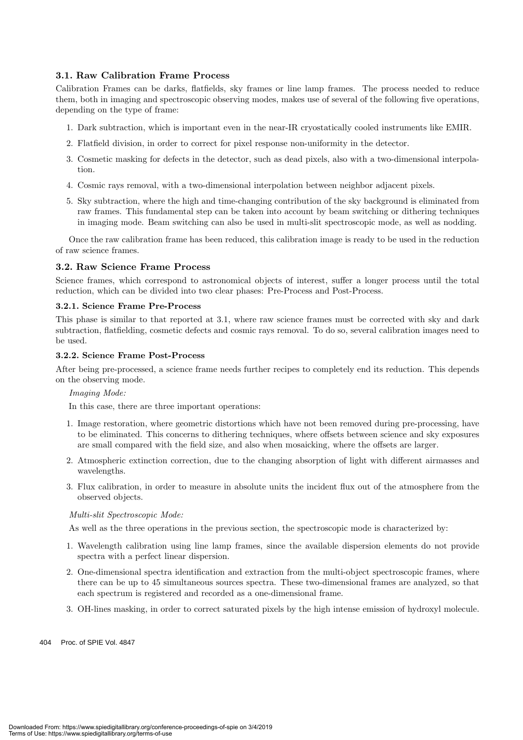#### **3.1. Raw Calibration Frame Process**

Calibration Frames can be darks, flatfields, sky frames or line lamp frames.The process needed to reduce them, both in imaging and spectroscopic observing modes, makes use of several of the following five operations, depending on the type of frame:

- 1.Dark subtraction, which is important even in the near-IR cryostatically cooled instruments like EMIR.
- 2.Flatfield division, in order to correct for pixel response non-uniformity in the detector.
- 3.Cosmetic masking for defects in the detector, such as dead pixels, also with a two-dimensional interpolation.
- 4.Cosmic rays removal, with a two-dimensional interpolation between neighbor adjacent pixels.
- 5.Sky subtraction, where the high and time-changing contribution of the sky background is eliminated from raw frames. This fundamental step can be taken into account by beam switching or dithering techniques in imaging mode. Beam switching can also be used in multi-slit spectroscopic mode, as well as nodding.

Once the raw calibration frame has been reduced, this calibration image is ready to be used in the reduction of raw science frames.

#### **3.2. Raw Science Frame Process**

Science frames, which correspond to astronomical objects of interest, suffer a longer process until the total reduction, which can be divided into two clear phases: Pre-Process and Post-Process.

#### **3.2.1. Science Frame Pre-Process**

This phase is similar to that reported at 3.1, where raw science frames must be corrected with sky and dark subtraction, flatfielding, cosmetic defects and cosmic rays removal. To do so, several calibration images need to be used.

#### **3.2.2. Science Frame Post-Process**

After being pre-processed, a science frame needs further recipes to completely end its reduction.This depends on the observing mode.

#### *Imaging Mode:*

In this case, there are three important operations:

- 1.Image restoration, where geometric distortions which have not been removed during pre-processing, have to be eliminated.This concerns to dithering techniques, where offsets between science and sky exposures are small compared with the field size, and also when mosaicking, where the offsets are larger.
- 2.Atmospheric extinction correction, due to the changing absorption of light with different airmasses and wavelengths.
- 3.Flux calibration, in order to measure in absolute units the incident flux out of the atmosphere from the observed objects.

#### *Multi-slit Spectroscopic Mode:*

As well as the three operations in the previous section, the spectroscopic mode is characterized by:

- 1.Wavelength calibration using line lamp frames, since the available dispersion elements do not provide spectra with a perfect linear dispersion.
- 2.One-dimensional spectra identification and extraction from the multi-object spectroscopic frames, where there can be up to 45 simultaneous sources spectra. These two-dimensional frames are analyzed, so that each spectrum is registered and recorded as a one-dimensional frame.
- 3.OH-lines masking, in order to correct saturated pixels by the high intense emission of hydroxyl molecule.
- 404 Proc. of SPIE Vol. 4847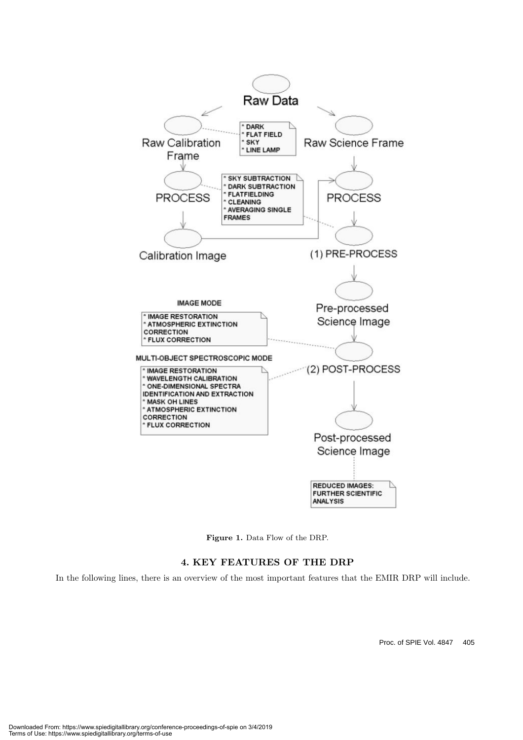

**Figure 1.** Data Flow of the DRP.

#### **4. KEY FEATURES OF THE DRP**

In the following lines, there is an overview of the most important features that the EMIR DRP will include.

Proc. of SPIE Vol. 4847 405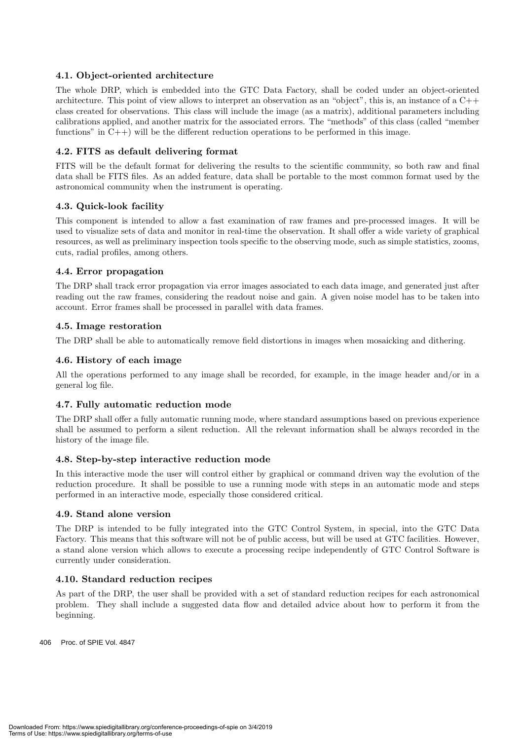#### **4.1. Object-oriented architecture**

The whole DRP, which is embedded into the GTC Data Factory, shall be coded under an object-oriented architecture. This point of view allows to interpret an observation as an "object", this is, an instance of a  $C++$ class created for observations.This class will include the image (as a matrix), additional parameters including calibrations applied, and another matrix for the associated errors.The "methods" of this class (called "member functions" in  $C_{++}$ ) will be the different reduction operations to be performed in this image.

#### **4.2. FITS as default delivering format**

FITS will be the default format for delivering the results to the scientific community, so both raw and final data shall be FITS files. As an added feature, data shall be portable to the most common format used by the astronomical community when the instrument is operating.

#### **4.3. Quick-look facility**

This component is intended to allow a fast examination of raw frames and pre-processed images.It will be used to visualize sets of data and monitor in real-time the observation. It shall offer a wide variety of graphical resources, as well as preliminary inspection tools specific to the observing mode, such as simple statistics, zooms, cuts, radial profiles, among others.

#### **4.4. Error propagation**

The DRP shall track error propagation via error images associated to each data image, and generated just after reading out the raw frames, considering the readout noise and gain.A given noise model has to be taken into account.Error frames shall be processed in parallel with data frames.

#### **4.5. Image restoration**

The DRP shall be able to automatically remove field distortions in images when mosaicking and dithering.

#### **4.6. History of each image**

All the operations performed to any image shall be recorded, for example, in the image header and/or in a general log file.

#### **4.7. Fully automatic reduction mode**

The DRP shall offer a fully automatic running mode, where standard assumptions based on previous experience shall be assumed to perform a silent reduction. All the relevant information shall be always recorded in the history of the image file.

#### **4.8. Step-by-step interactive reduction mode**

In this interactive mode the user will control either by graphical or command driven way the evolution of the reduction procedure. It shall be possible to use a running mode with steps in an automatic mode and steps performed in an interactive mode, especially those considered critical.

#### **4.9. Stand alone version**

The DRP is intended to be fully integrated into the GTC Control System, in special, into the GTC Data Factory. This means that this software will not be of public access, but will be used at GTC facilities. However, a stand alone version which allows to execute a processing recipe independently of GTC Control Software is currently under consideration.

#### **4.10. Standard reduction recipes**

As part of the DRP, the user shall be provided with a set of standard reduction recipes for each astronomical problem.They shall include a suggested data flow and detailed advice about how to perform it from the beginning.

406 Proc. of SPIE Vol. 4847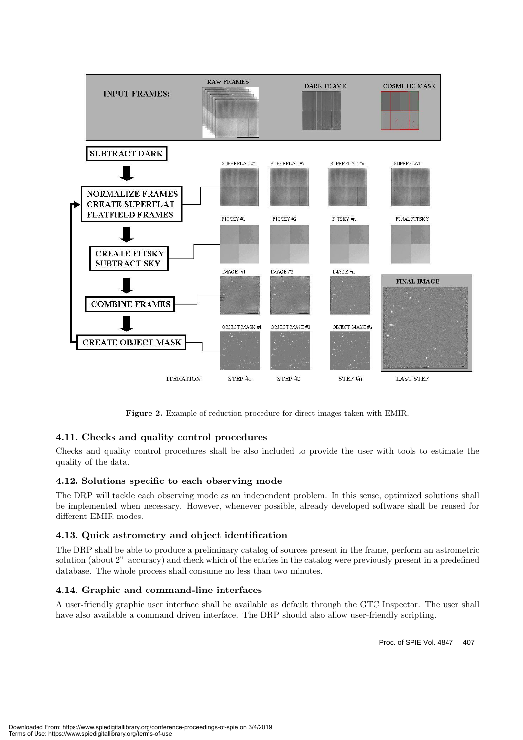

**Figure 2.** Example of reduction procedure for direct images taken with EMIR.

#### **4.11. Checks and quality control procedures**

Checks and quality control procedures shall be also included to provide the user with tools to estimate the quality of the data.

#### **4.12. Solutions specific to each observing mode**

The DRP will tackle each observing mode as an independent problem.In this sense, optimized solutions shall be implemented when necessary. However, whenever possible, already developed software shall be reused for different EMIR modes.

#### **4.13. Quick astrometry and object identification**

The DRP shall be able to produce a preliminary catalog of sources present in the frame, perform an astrometric solution (about 2" accuracy) and check which of the entries in the catalog were previously present in a predefined database. The whole process shall consume no less than two minutes.

#### **4.14. Graphic and command-line interfaces**

A user-friendly graphic user interface shall be available as default through the GTC Inspector.The user shall have also available a command driven interface. The DRP should also allow user-friendly scripting.

Proc. of SPIE Vol. 4847 407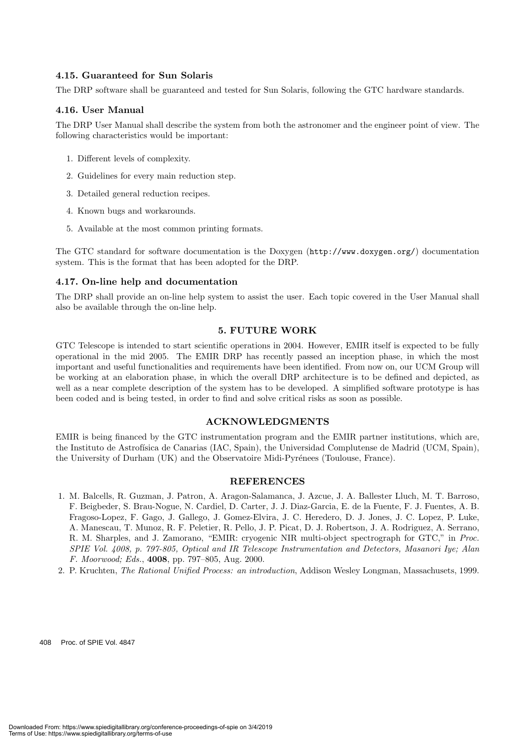#### **4.15. Guaranteed for Sun Solaris**

The DRP software shall be guaranteed and tested for Sun Solaris, following the GTC hardware standards.

#### **4.16. User Manual**

The DRP User Manual shall describe the system from both the astronomer and the engineer point of view.The following characteristics would be important:

- 1.Different levels of complexity.
- 2.Guidelines for every main reduction step.
- 3.Detailed general reduction recipes.
- 4.Known bugs and workarounds.
- 5.Available at the most common printing formats.

The GTC standard for software documentation is the Doxygen (http://www.doxygen.org/) documentation system.This is the format that has been adopted for the DRP.

#### **4.17. On-line help and documentation**

The DRP shall provide an on-line help system to assist the user.Each topic covered in the User Manual shall also be available through the on-line help.

#### **5. FUTURE WORK**

GTC Telescope is intended to start scientific operations in 2004. However, EMIR itself is expected to be fully operational in the mid 2005.The EMIR DRP has recently passed an inception phase, in which the most important and useful functionalities and requirements have been identified.From now on, our UCM Group will be working at an elaboration phase, in which the overall DRP architecture is to be defined and depicted, as well as a near complete description of the system has to be developed. A simplified software prototype is has been coded and is being tested, in order to find and solve critical risks as soon as possible.

#### **ACKNOWLEDGMENTS**

EMIR is being financed by the GTC instrumentation program and the EMIR partner institutions, which are, the Instituto de Astrofísica de Canarias (IAC, Spain), the Universidad Complutense de Madrid (UCM, Spain), the University of Durham (UK) and the Observatoire Midi-Pyrénees (Toulouse, France).

#### **REFERENCES**

- 1. M.Balcells, R.Guzman, J.Patron, A.Aragon-Salamanca, J.Azcue, J.A.Ballester Lluch, M.T.Barroso, F.Beigbeder, S.Brau-Nogue, N.Cardiel, D.Carter, J.J.Diaz-Garcia, E.de la Fuente, F.J.Fuentes, A.B. Fragoso-Lopez, F.Gago, J.Gallego, J.Gomez-Elvira, J.C.Heredero, D.J.Jones, J.C.Lopez, P.Luke, A.Manescau, T.Munoz, R.F.Peletier, R.Pello, J.P.Picat, D.J.Robertson, J.A.Rodriguez, A.Serrano, R.M.Sharples, and J.Zamorano, "EMIR: cryogenic NIR multi-object spectrograph for GTC," in *Proc. SPIE Vol. 4008, p. 797-805, Optical and IR Telescope Instrumentation and Detectors, Masanori Iye; Alan F. Moorwood; Eds.*, **4008**, pp.797–805, Aug.2000.
- 2.P.Kruchten, *The Rational Unified Process: an introduction*, Addison Wesley Longman, Massachusets, 1999.

408 Proc. of SPIE Vol. 4847